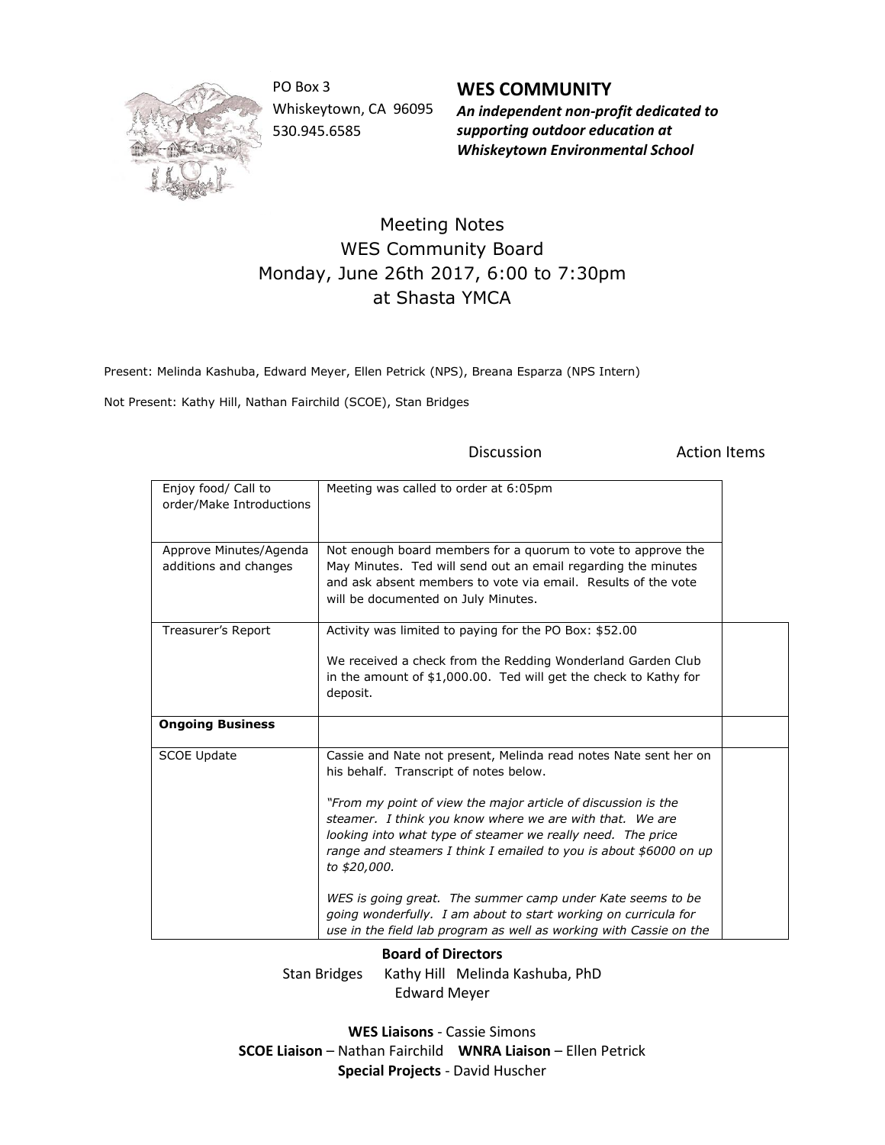

PO Box 3 Whiskeytown, CA 96095 530.945.6585

**WES COMMUNITY** *An independent non-profit dedicated to supporting outdoor education at Whiskeytown Environmental School*

## Meeting Notes WES Community Board Monday, June 26th 2017, 6:00 to 7:30pm at Shasta YMCA

Present: Melinda Kashuba, Edward Meyer, Ellen Petrick (NPS), Breana Esparza (NPS Intern)

Not Present: Kathy Hill, Nathan Fairchild (SCOE), Stan Bridges

| Enjoy food/ Call to<br>order/Make Introductions | Meeting was called to order at 6:05pm                                                                                                                                                                                                                                                                                                                                                                                                                                                                                                                                                              |  |
|-------------------------------------------------|----------------------------------------------------------------------------------------------------------------------------------------------------------------------------------------------------------------------------------------------------------------------------------------------------------------------------------------------------------------------------------------------------------------------------------------------------------------------------------------------------------------------------------------------------------------------------------------------------|--|
| Approve Minutes/Agenda<br>additions and changes | Not enough board members for a quorum to vote to approve the<br>May Minutes. Ted will send out an email regarding the minutes<br>and ask absent members to vote via email. Results of the vote<br>will be documented on July Minutes.                                                                                                                                                                                                                                                                                                                                                              |  |
| Treasurer's Report                              | Activity was limited to paying for the PO Box: \$52.00<br>We received a check from the Redding Wonderland Garden Club<br>in the amount of \$1,000.00. Ted will get the check to Kathy for<br>deposit.                                                                                                                                                                                                                                                                                                                                                                                              |  |
| <b>Ongoing Business</b>                         |                                                                                                                                                                                                                                                                                                                                                                                                                                                                                                                                                                                                    |  |
| <b>SCOE Update</b>                              | Cassie and Nate not present, Melinda read notes Nate sent her on<br>his behalf. Transcript of notes below.<br>"From my point of view the major article of discussion is the<br>steamer. I think you know where we are with that. We are<br>looking into what type of steamer we really need. The price<br>range and steamers I think I emailed to you is about \$6000 on up<br>to \$20,000.<br>WES is going great. The summer camp under Kate seems to be<br>going wonderfully. I am about to start working on curricula for<br>use in the field lab program as well as working with Cassie on the |  |

Discussion **Action** Items

**Board of Directors**

Stan Bridges Kathy Hill Melinda Kashuba, PhD Edward Meyer

**WES Liaisons** - Cassie Simons **SCOE Liaison** – Nathan Fairchild **WNRA Liaison** – Ellen Petrick **Special Projects** - David Huscher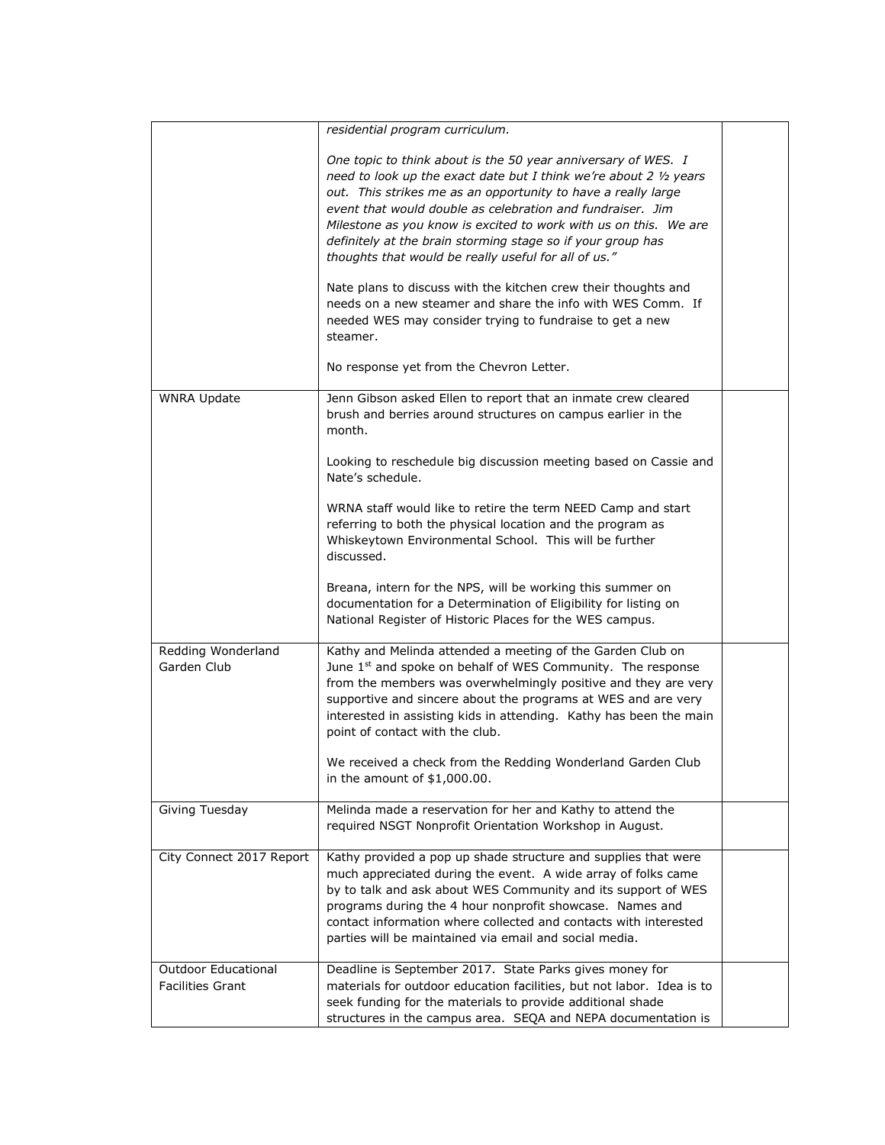|                                                       | residential program curriculum.                                                                                                                                                                                                                                                                                                                                                                                                                               |  |
|-------------------------------------------------------|---------------------------------------------------------------------------------------------------------------------------------------------------------------------------------------------------------------------------------------------------------------------------------------------------------------------------------------------------------------------------------------------------------------------------------------------------------------|--|
|                                                       | One topic to think about is the 50 year anniversary of WES. I<br>need to look up the exact date but I think we're about 2 1/2 years<br>out. This strikes me as an opportunity to have a really large<br>event that would double as celebration and fundraiser. Jim<br>Milestone as you know is excited to work with us on this. We are<br>definitely at the brain storming stage so if your group has<br>thoughts that would be really useful for all of us." |  |
|                                                       | Nate plans to discuss with the kitchen crew their thoughts and<br>needs on a new steamer and share the info with WES Comm. If<br>needed WES may consider trying to fundraise to get a new<br>steamer.                                                                                                                                                                                                                                                         |  |
|                                                       | No response yet from the Chevron Letter.                                                                                                                                                                                                                                                                                                                                                                                                                      |  |
| <b>WNRA Update</b>                                    | Jenn Gibson asked Ellen to report that an inmate crew cleared<br>brush and berries around structures on campus earlier in the<br>month.                                                                                                                                                                                                                                                                                                                       |  |
|                                                       | Looking to reschedule big discussion meeting based on Cassie and<br>Nate's schedule.                                                                                                                                                                                                                                                                                                                                                                          |  |
|                                                       | WRNA staff would like to retire the term NEED Camp and start<br>referring to both the physical location and the program as<br>Whiskeytown Environmental School. This will be further<br>discussed.                                                                                                                                                                                                                                                            |  |
|                                                       | Breana, intern for the NPS, will be working this summer on<br>documentation for a Determination of Eligibility for listing on<br>National Register of Historic Places for the WES campus.                                                                                                                                                                                                                                                                     |  |
| Redding Wonderland<br>Garden Club                     | Kathy and Melinda attended a meeting of the Garden Club on<br>June $1st$ and spoke on behalf of WES Community. The response<br>from the members was overwhelmingly positive and they are very<br>supportive and sincere about the programs at WES and are very<br>interested in assisting kids in attending. Kathy has been the main<br>point of contact with the club.                                                                                       |  |
|                                                       | We received a check from the Redding Wonderland Garden Club<br>in the amount of $$1,000.00$ .                                                                                                                                                                                                                                                                                                                                                                 |  |
| Giving Tuesday                                        | Melinda made a reservation for her and Kathy to attend the<br>required NSGT Nonprofit Orientation Workshop in August.                                                                                                                                                                                                                                                                                                                                         |  |
| City Connect 2017 Report                              | Kathy provided a pop up shade structure and supplies that were<br>much appreciated during the event. A wide array of folks came<br>by to talk and ask about WES Community and its support of WES<br>programs during the 4 hour nonprofit showcase. Names and<br>contact information where collected and contacts with interested<br>parties will be maintained via email and social media.                                                                    |  |
| <b>Outdoor Educational</b><br><b>Facilities Grant</b> | Deadline is September 2017. State Parks gives money for<br>materials for outdoor education facilities, but not labor. Idea is to<br>seek funding for the materials to provide additional shade<br>structures in the campus area. SEQA and NEPA documentation is                                                                                                                                                                                               |  |